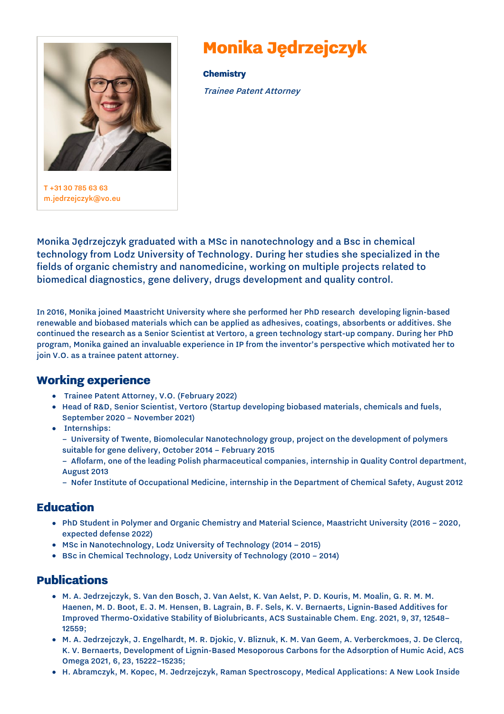

T +31 30 [785](tel:+31%2030%20785%2063%2063) 63 63 [m.jedrzejczyk@vo.eu](mailto:m.jedrzejczyk@vo.eu)

# **Monika Jędrzejczyk**

**Chemistry** Trainee Patent Attorney

Monika Jędrzejczyk graduated with a MSc in nanotechnology and a Bsc in chemical technology from Lodz University of Technology. During her studies she specialized in the fields of organic chemistry and nanomedicine, working on multiple projects related to biomedical diagnostics, gene delivery, drugs development and quality control.

In 2016, Monika joined Maastricht University where she performed her PhD research developing lignin-based renewable and biobased materials which can be applied as adhesives, coatings, absorbents or additives. She continued the research as a Senior Scientist at Vertoro, a green technology start-up company. During her PhD program, Monika gained an invaluable experience in IP from the inventor's perspective which motivated her to join V.O. as a trainee patent attorney.

## **Working experience**

- Trainee Patent Attorney, V.O. (February 2022)
- Head of R&D, Senior Scientist, Vertoro (Startup developing biobased materials, chemicals and fuels, September 2020 – November 2021)
- Internships:
	- University of Twente, Biomolecular Nanotechnology group, project on the development of polymers suitable for gene delivery, October 2014 – February 2015
	- Aflofarm, one of the leading Polish pharmaceutical companies, internship in Quality Control department, August 2013
	- Nofer Institute of Occupational Medicine, internship in the Department of Chemical Safety, August 2012

### **Education**

- PhD Student in Polymer and Organic Chemistry and Material Science, Maastricht University (2016 2020, expected defense 2022)
- MSc in Nanotechnology, Lodz University of Technology (2014 2015)
- BSc in Chemical Technology, Lodz University of Technology (2010 2014)

## **Publications**

- $\bullet$  M. A. Jedrzejczyk, S. Van den Bosch, J. Van Aelst, K. Van Aelst, P. D. Kouris, M. Moalin, G. R. M. M. Haenen, M. D. Boot, E. J. M. Hensen, B. Lagrain, B. F. Sels, K. V. Bernaerts, Lignin-Based Additives for Improved Thermo-Oxidative Stability of Biolubricants, ACS Sustainable Chem. Eng. 2021, 9, 37, 12548– 12559;
- M. A. Jedrzejczyk, J. Engelhardt, M. R. Djokic, V. Bliznuk, K. M. Van Geem, A. Verberckmoes, J. De Clercq, K. V. Bernaerts, Development of Lignin-Based Mesoporous Carbons for the Adsorption of Humic Acid, ACS Omega 2021, 6, 23, 15222–15235;
- H. Abramczyk, M. Kopec, M. Jedrzejczyk, Raman Spectroscopy, Medical Applications: A New Look Inside